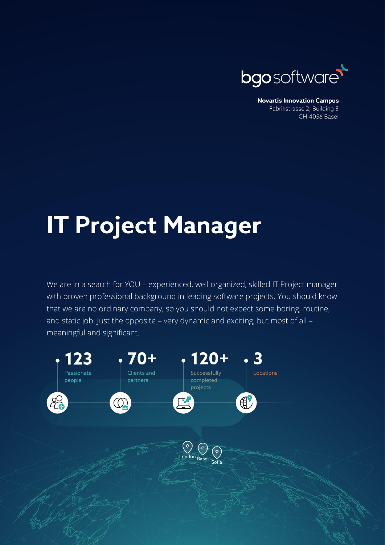

**Novartis Innovation Campus** Fabrikstrasse 2, Building 3 CH-4056 Basel

## **IT Project Manager**

We are in a search for YOU – experienced, well organized, skilled IT Project manager with proven professional background in leading software projects. You should know that we are no ordinary company, so you should not expect some boring, routine, and static job. Just the opposite – very dynamic and exciting, but most of all – meaningful and significant.

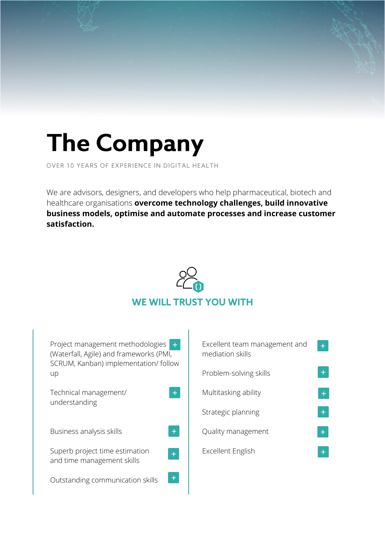## **The Company**

OVER 10 YEARS OF EXPERIENCE IN DIGITAL HEALTH

We are advisors, designers, and developers who help pharmaceutical, biotech and healthcare organisations **overcome technology challenges, build innovative business models, optimise and automate processes and increase customer satisfaction.**



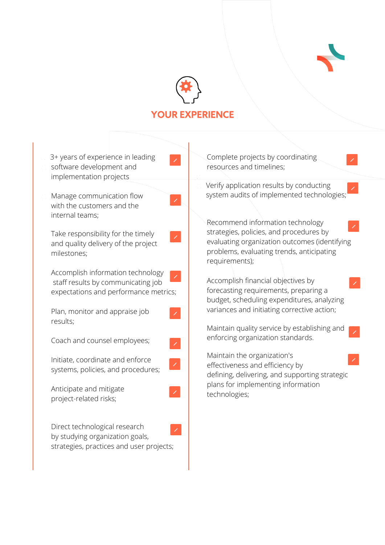